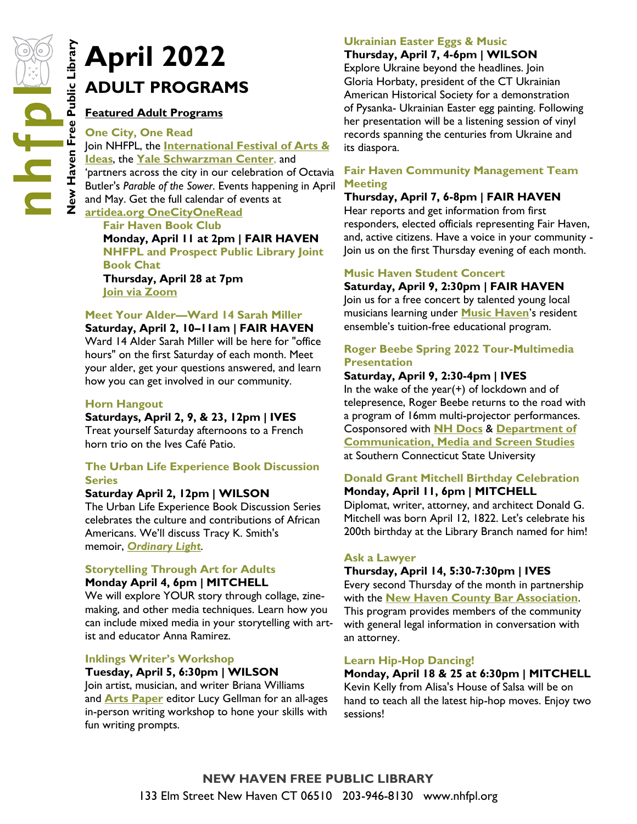# **ADULT PROGRAMS**

# **Featured Adult Programs**

## **One City, One Read**

**April 2022**<br> **New Haven**<br> **NEW HAVELT PROGRAL**<br> **NEW HAVELT PROGRAL**<br> **CONSTRANT PROGRAL**<br> **CONSTRANT PROGRAL**<br> **CONSTRANT PROGRAL**<br> **CONSTRANT PROGRAL**<br> **CONSTRANT PROGRAL**<br> **CONSTRANT PROGRAM**<br> **CONSTRANT PROGRAM**<br> **CON** Join NHFPL, the **[International Festival of Arts &](https://www.artidea.org/OneCityOneRead)  [Ideas](https://www.artidea.org/OneCityOneRead)**, the **[Yale Schwarzman Center](https://schwarzman.yale.edu/)**, and 'partners across the city in our celebration of Octavia Butler's *Parable of the Sower*. Events happening in April and May. Get the full calendar of events at **[artidea.org OneCityOneRead](https://www.artidea.org/OneCityOneRead)**

**Fair Haven Book Club Monday, April 11 at 2pm | FAIR HAVEN NHFPL and Prospect Public Library Joint Book Chat Thursday, April 28 at 7pm [Join via Zoom](https://nhfpl.libnet.info/event/6151766)**

**Meet Your Alder—Ward 14 Sarah Miller**

**Saturday, April 2, 10–11am | FAIR HAVEN** Ward 14 Alder Sarah Miller will be here for "office hours" on the first Saturday of each month. Meet your alder, get your questions answered, and learn how you can get involved in our community.

# **Horn Hangout**

## **Saturdays, April 2, 9, & 23, 12pm | IVES**

Treat yourself Saturday afternoons to a French horn trio on the Ives Café Patio.

# **The Urban Life Experience Book Discussion Series**

## **Saturday April 2, 12pm | WILSON**

The Urban Life Experience Book Discussion Series celebrates the culture and contributions of African Americans. We'll discuss Tracy K. Smith's memoir, *[Ordinary Light](http://nhave-encore.iii.com/iii/encore/record/C__Rb1473612__SOrdinary%20Light__Orightresult__U__X6?lang=eng&suite=cobalt).*

## **Storytelling Through Art for Adults Monday April 4, 6pm | MITCHELL**

We will explore YOUR story through collage, zinemaking, and other media techniques. Learn how you can include mixed media in your storytelling with artist and educator Anna Ramirez.

# **Inklings Writer's Workshop**

# **Tuesday, April 5, 6:30pm | WILSON**

Join artist, musician, and writer Briana Williams and **[Arts Paper](https://www.newhavenarts.org/arts-paper/articles)** editor Lucy Gellman for an all-ages in-person writing workshop to hone your skills with fun writing prompts.

# **Ukrainian Easter Eggs & Music**

# **Thursday, April 7, 4-6pm | WILSON**

Explore Ukraine beyond the headlines. Join Gloria Horbaty, president of the CT Ukrainian American Historical Society for a demonstration of Pysanka- Ukrainian Easter egg painting. Following her presentation will be a listening session of vinyl records spanning the centuries from Ukraine and its diaspora.

# **Fair Haven Community Management Team Meeting**

# **Thursday, April 7, 6-8pm | FAIR HAVEN**

Hear reports and get information from first responders, elected officials representing Fair Haven, and, active citizens. Have a voice in your community - Join us on the first Thursday evening of each month.

## **Music Haven Student Concert**

# **Saturday, April 9, 2:30pm | FAIR HAVEN**

Join us for a free concert by talented young local musicians learning under **[Music Haven](https://www.musichavenct.org/)**'s resident ensemble's tuition-free educational program.

# **Roger Beebe Spring 2022 Tour-Multimedia Presentation**

# **Saturday, April 9, 2:30-4pm | IVES**

In the wake of the year(+) of lockdown and of telepresence, Roger Beebe returns to the road with a program of 16mm multi-projector performances. Cosponsored with **[NH Docs](http://www.nhdocs.com/)** & **[Department of](https://www.southernct.edu/academics/communication)  [Communication, Media and Screen Studies](https://www.southernct.edu/academics/communication)** at Southern Connecticut State University

## **Donald Grant Mitchell Birthday Celebration Monday, April 11, 6pm | MITCHELL**

Diplomat, writer, attorney, and architect Donald G. Mitchell was born April 12, 1822. Let's celebrate his 200th birthday at the Library Branch named for him!

# **Ask a Lawyer**

# **Thursday, April 14, 5:30-7:30pm | IVES**

Every second Thursday of the month in partnership with the **[New Haven County Bar Association](https://www.newhavenbar.org/)**. This program provides members of the community with general legal information in conversation with an attorney.

# **Learn Hip-Hop Dancing!**

# **Monday, April 18 & 25 at 6:30pm | MITCHELL**

Kevin Kelly from Alisa's House of Salsa will be on hand to teach all the latest hip-hop moves. Enjoy two sessions!